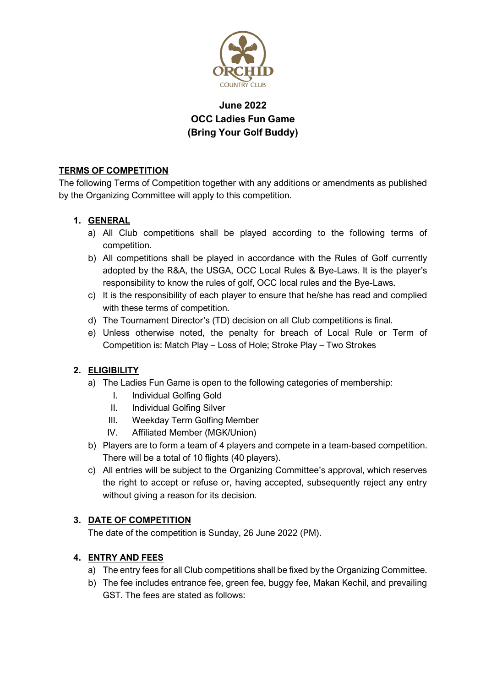

# **June 2022 OCC Ladies Fun Game (Bring Your Golf Buddy)**

# **TERMS OF COMPETITION**

The following Terms of Competition together with any additions or amendments as published by the Organizing Committee will apply to this competition.

# **1. GENERAL**

- a) All Club competitions shall be played according to the following terms of competition.
- b) All competitions shall be played in accordance with the Rules of Golf currently adopted by the R&A, the USGA, OCC Local Rules & Bye-Laws. It is the player's responsibility to know the rules of golf, OCC local rules and the Bye-Laws.
- c) It is the responsibility of each player to ensure that he/she has read and complied with these terms of competition.
- d) The Tournament Director's (TD) decision on all Club competitions is final.
- e) Unless otherwise noted, the penalty for breach of Local Rule or Term of Competition is: Match Play – Loss of Hole; Stroke Play – Two Strokes

# **2. ELIGIBILITY**

- a) The Ladies Fun Game is open to the following categories of membership:
	- I. Individual Golfing Gold
	- II. Individual Golfing Silver
	- III. Weekday Term Golfing Member
	- IV. Affiliated Member (MGK/Union)
- b) Players are to form a team of 4 players and compete in a team-based competition. There will be a total of 10 flights (40 players).
- c) All entries will be subject to the Organizing Committee's approval, which reserves the right to accept or refuse or, having accepted, subsequently reject any entry without giving a reason for its decision.

# **3. DATE OF COMPETITION**

The date of the competition is Sunday, 26 June 2022 (PM).

# **4. ENTRY AND FEES**

- a) The entry fees for all Club competitions shall be fixed by the Organizing Committee.
- b) The fee includes entrance fee, green fee, buggy fee, Makan Kechil, and prevailing GST. The fees are stated as follows: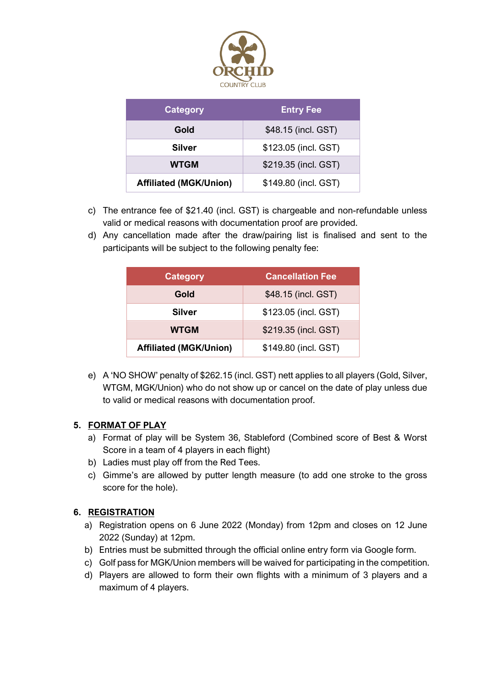

| <b>Category</b>               | <b>Entry Fee</b>     |
|-------------------------------|----------------------|
| Gold                          | \$48.15 (incl. GST)  |
| <b>Silver</b>                 | \$123.05 (incl. GST) |
| <b>WTGM</b>                   | \$219.35 (incl. GST) |
| <b>Affiliated (MGK/Union)</b> | \$149.80 (incl. GST) |

- c) The entrance fee of \$21.40 (incl. GST) is chargeable and non-refundable unless valid or medical reasons with documentation proof are provided.
- d) Any cancellation made after the draw/pairing list is finalised and sent to the participants will be subject to the following penalty fee:

| <b>Category</b>               | <b>Cancellation Fee</b> |
|-------------------------------|-------------------------|
| Gold                          | \$48.15 (incl. GST)     |
| <b>Silver</b>                 | \$123.05 (incl. GST)    |
| <b>WTGM</b>                   | \$219.35 (incl. GST)    |
| <b>Affiliated (MGK/Union)</b> | \$149.80 (incl. GST)    |

e) A 'NO SHOW' penalty of \$262.15 (incl. GST) nett applies to all players (Gold, Silver, WTGM, MGK/Union) who do not show up or cancel on the date of play unless due to valid or medical reasons with documentation proof.

# **5. FORMAT OF PLAY**

- a) Format of play will be System 36, Stableford (Combined score of Best & Worst Score in a team of 4 players in each flight)
- b) Ladies must play off from the Red Tees.
- c) Gimme's are allowed by putter length measure (to add one stroke to the gross score for the hole).

# **6. REGISTRATION**

- a) Registration opens on 6 June 2022 (Monday) from 12pm and closes on 12 June 2022 (Sunday) at 12pm.
- b) Entries must be submitted through the official online entry form via Google form.
- c) Golf pass for MGK/Union members will be waived for participating in the competition.
- d) Players are allowed to form their own flights with a minimum of 3 players and a maximum of 4 players.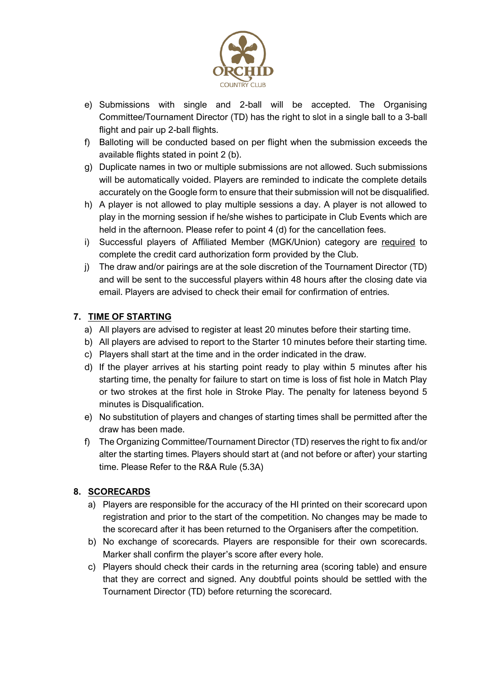

- e) Submissions with single and 2-ball will be accepted. The Organising Committee/Tournament Director (TD) has the right to slot in a single ball to a 3-ball flight and pair up 2-ball flights.
- f) Balloting will be conducted based on per flight when the submission exceeds the available flights stated in point 2 (b).
- g) Duplicate names in two or multiple submissions are not allowed. Such submissions will be automatically voided. Players are reminded to indicate the complete details accurately on the Google form to ensure that their submission will not be disqualified.
- h) A player is not allowed to play multiple sessions a day. A player is not allowed to play in the morning session if he/she wishes to participate in Club Events which are held in the afternoon. Please refer to point 4 (d) for the cancellation fees.
- i) Successful players of Affiliated Member (MGK/Union) category are required to complete the credit card authorization form provided by the Club.
- j) The draw and/or pairings are at the sole discretion of the Tournament Director (TD) and will be sent to the successful players within 48 hours after the closing date via email. Players are advised to check their email for confirmation of entries.

# **7. TIME OF STARTING**

- a) All players are advised to register at least 20 minutes before their starting time.
- b) All players are advised to report to the Starter 10 minutes before their starting time.
- c) Players shall start at the time and in the order indicated in the draw.
- d) If the player arrives at his starting point ready to play within 5 minutes after his starting time, the penalty for failure to start on time is loss of fist hole in Match Play or two strokes at the first hole in Stroke Play. The penalty for lateness beyond 5 minutes is Disqualification.
- e) No substitution of players and changes of starting times shall be permitted after the draw has been made.
- f) The Organizing Committee/Tournament Director (TD) reserves the right to fix and/or alter the starting times. Players should start at (and not before or after) your starting time. Please Refer to the R&A Rule (5.3A)

# **8. SCORECARDS**

- a) Players are responsible for the accuracy of the HI printed on their scorecard upon registration and prior to the start of the competition. No changes may be made to the scorecard after it has been returned to the Organisers after the competition.
- b) No exchange of scorecards. Players are responsible for their own scorecards. Marker shall confirm the player's score after every hole.
- c) Players should check their cards in the returning area (scoring table) and ensure that they are correct and signed. Any doubtful points should be settled with the Tournament Director (TD) before returning the scorecard.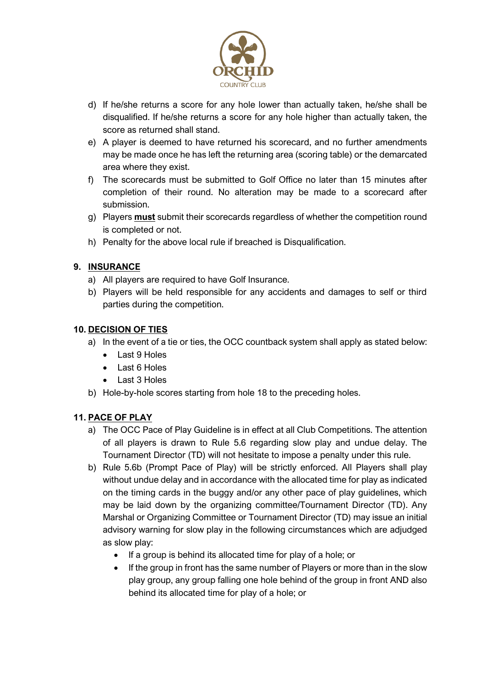

- d) If he/she returns a score for any hole lower than actually taken, he/she shall be disqualified. If he/she returns a score for any hole higher than actually taken, the score as returned shall stand.
- e) A player is deemed to have returned his scorecard, and no further amendments may be made once he has left the returning area (scoring table) or the demarcated area where they exist.
- f) The scorecards must be submitted to Golf Office no later than 15 minutes after completion of their round. No alteration may be made to a scorecard after submission.
- g) Players **must** submit their scorecards regardless of whether the competition round is completed or not.
- h) Penalty for the above local rule if breached is Disqualification.

# **9. INSURANCE**

- a) All players are required to have Golf Insurance.
- b) Players will be held responsible for any accidents and damages to self or third parties during the competition.

## **10. DECISION OF TIES**

- a) In the event of a tie or ties, the OCC countback system shall apply as stated below:
	- Last 9 Holes
	- Last 6 Holes
	- Last 3 Holes
- b) Hole-by-hole scores starting from hole 18 to the preceding holes.

# **11. PACE OF PLAY**

- a) The OCC Pace of Play Guideline is in effect at all Club Competitions. The attention of all players is drawn to Rule 5.6 regarding slow play and undue delay. The Tournament Director (TD) will not hesitate to impose a penalty under this rule.
- b) Rule 5.6b (Prompt Pace of Play) will be strictly enforced. All Players shall play without undue delay and in accordance with the allocated time for play as indicated on the timing cards in the buggy and/or any other pace of play guidelines, which may be laid down by the organizing committee/Tournament Director (TD). Any Marshal or Organizing Committee or Tournament Director (TD) may issue an initial advisory warning for slow play in the following circumstances which are adjudged as slow play:
	- If a group is behind its allocated time for play of a hole; or
	- If the group in front has the same number of Players or more than in the slow play group, any group falling one hole behind of the group in front AND also behind its allocated time for play of a hole; or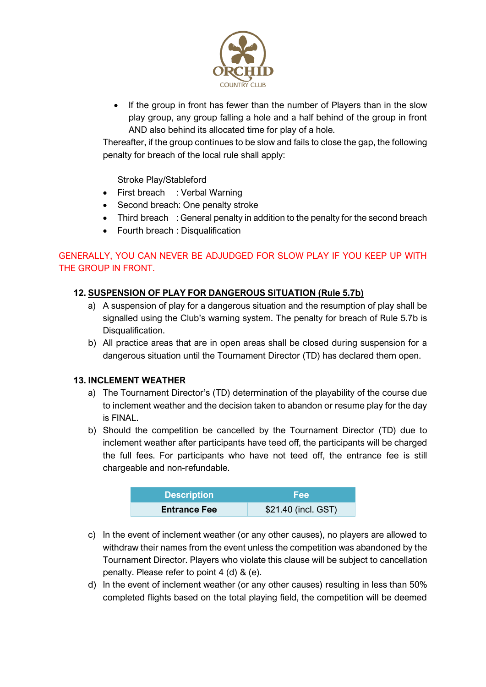

• If the group in front has fewer than the number of Players than in the slow play group, any group falling a hole and a half behind of the group in front AND also behind its allocated time for play of a hole.

Thereafter, if the group continues to be slow and fails to close the gap, the following penalty for breach of the local rule shall apply:

Stroke Play/Stableford

- First breach : Verbal Warning
- Second breach: One penalty stroke
- Third breach : General penalty in addition to the penalty for the second breach
- Fourth breach : Disqualification

## GENERALLY, YOU CAN NEVER BE ADJUDGED FOR SLOW PLAY IF YOU KEEP UP WITH THE GROUP IN FRONT.

## **12. SUSPENSION OF PLAY FOR DANGEROUS SITUATION (Rule 5.7b)**

- a) A suspension of play for a dangerous situation and the resumption of play shall be signalled using the Club's warning system. The penalty for breach of Rule 5.7b is Disqualification.
- b) All practice areas that are in open areas shall be closed during suspension for a dangerous situation until the Tournament Director (TD) has declared them open.

### **13. INCLEMENT WEATHER**

- a) The Tournament Director's (TD) determination of the playability of the course due to inclement weather and the decision taken to abandon or resume play for the day is FINAL.
- b) Should the competition be cancelled by the Tournament Director (TD) due to inclement weather after participants have teed off, the participants will be charged the full fees. For participants who have not teed off, the entrance fee is still chargeable and non-refundable.

| <b>Description</b>  | <b>Fee</b>          |
|---------------------|---------------------|
| <b>Entrance Fee</b> | \$21.40 (incl. GST) |

- c) In the event of inclement weather (or any other causes), no players are allowed to withdraw their names from the event unless the competition was abandoned by the Tournament Director. Players who violate this clause will be subject to cancellation penalty. Please refer to point 4 (d) & (e).
- d) In the event of inclement weather (or any other causes) resulting in less than 50% completed flights based on the total playing field, the competition will be deemed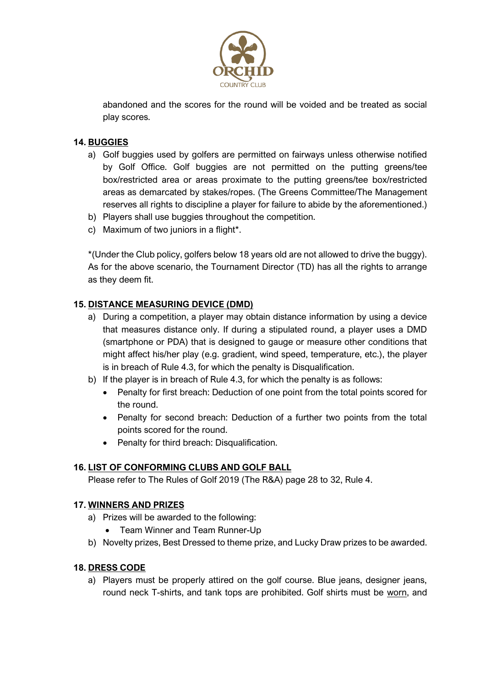

abandoned and the scores for the round will be voided and be treated as social play scores.

## **14. BUGGIES**

- a) Golf buggies used by golfers are permitted on fairways unless otherwise notified by Golf Office. Golf buggies are not permitted on the putting greens/tee box/restricted area or areas proximate to the putting greens/tee box/restricted areas as demarcated by stakes/ropes. (The Greens Committee/The Management reserves all rights to discipline a player for failure to abide by the aforementioned.)
- b) Players shall use buggies throughout the competition.
- c) Maximum of two juniors in a flight\*.

\*(Under the Club policy, golfers below 18 years old are not allowed to drive the buggy). As for the above scenario, the Tournament Director (TD) has all the rights to arrange as they deem fit.

### **15. DISTANCE MEASURING DEVICE (DMD)**

- a) During a competition, a player may obtain distance information by using a device that measures distance only. If during a stipulated round, a player uses a DMD (smartphone or PDA) that is designed to gauge or measure other conditions that might affect his/her play (e.g. gradient, wind speed, temperature, etc.), the player is in breach of Rule 4.3, for which the penalty is Disqualification.
- b) If the player is in breach of Rule 4.3, for which the penalty is as follows:
	- Penalty for first breach: Deduction of one point from the total points scored for the round.
	- Penalty for second breach: Deduction of a further two points from the total points scored for the round.
	- Penalty for third breach: Disqualification.

### **16. LIST OF CONFORMING CLUBS AND GOLF BALL**

Please refer to The Rules of Golf 2019 (The R&A) page 28 to 32, Rule 4.

### **17. WINNERS AND PRIZES**

- a) Prizes will be awarded to the following:
	- Team Winner and Team Runner-Up
- b) Novelty prizes, Best Dressed to theme prize, and Lucky Draw prizes to be awarded.

### **18. DRESS CODE**

a) Players must be properly attired on the golf course. Blue jeans, designer jeans, round neck T-shirts, and tank tops are prohibited. Golf shirts must be worn, and